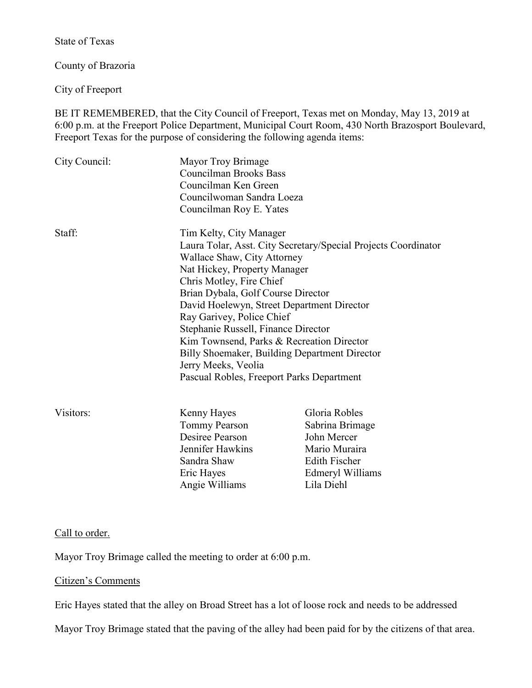State of Texas

County of Brazoria

City of Freeport

BE IT REMEMBERED, that the City Council of Freeport, Texas met on Monday, May 13, 2019 at 6:00 p.m. at the Freeport Police Department, Municipal Court Room, 430 North Brazosport Boulevard, Freeport Texas for the purpose of considering the following agenda items:

| City Council: | Mayor Troy Brimage<br><b>Councilman Brooks Bass</b><br>Councilman Ken Green<br>Councilwoman Sandra Loeza<br>Councilman Roy E. Yates                                                                                                                                                                                                                                                                                                                                                                            |                                                                                                                            |
|---------------|----------------------------------------------------------------------------------------------------------------------------------------------------------------------------------------------------------------------------------------------------------------------------------------------------------------------------------------------------------------------------------------------------------------------------------------------------------------------------------------------------------------|----------------------------------------------------------------------------------------------------------------------------|
| Staff:        | Tim Kelty, City Manager<br>Laura Tolar, Asst. City Secretary/Special Projects Coordinator<br>Wallace Shaw, City Attorney<br>Nat Hickey, Property Manager<br>Chris Motley, Fire Chief<br>Brian Dybala, Golf Course Director<br>David Hoelewyn, Street Department Director<br>Ray Garivey, Police Chief<br>Stephanie Russell, Finance Director<br>Kim Townsend, Parks & Recreation Director<br>Billy Shoemaker, Building Department Director<br>Jerry Meeks, Veolia<br>Pascual Robles, Freeport Parks Department |                                                                                                                            |
| Visitors:     | Kenny Hayes<br>Tommy Pearson<br>Desiree Pearson<br>Jennifer Hawkins<br>Sandra Shaw<br>Eric Hayes<br>Angie Williams                                                                                                                                                                                                                                                                                                                                                                                             | Gloria Robles<br>Sabrina Brimage<br>John Mercer<br>Mario Muraira<br><b>Edith Fischer</b><br>Edmeryl Williams<br>Lila Diehl |

## Call to order.

Mayor Troy Brimage called the meeting to order at 6:00 p.m.

#### Citizen's Comments

Eric Hayes stated that the alley on Broad Street has a lot of loose rock and needs to be addressed

Mayor Troy Brimage stated that the paving of the alley had been paid for by the citizens of that area.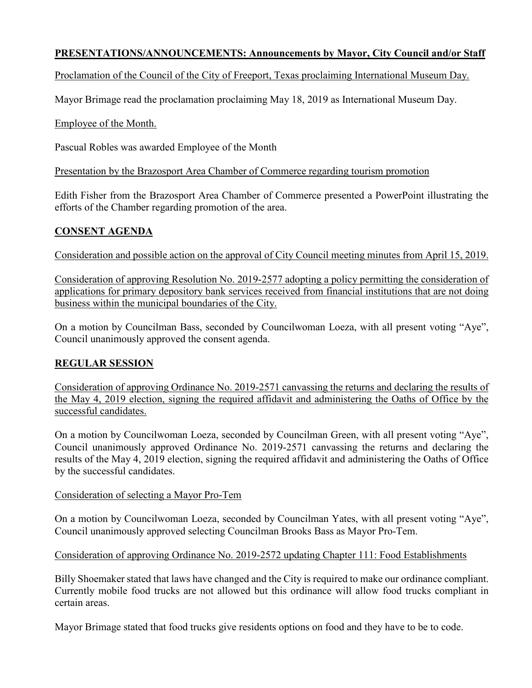## **PRESENTATIONS/ANNOUNCEMENTS: Announcements by Mayor, City Council and/or Staff**

Proclamation of the Council of the City of Freeport, Texas proclaiming International Museum Day.

Mayor Brimage read the proclamation proclaiming May 18, 2019 as International Museum Day.

Employee of the Month.

Pascual Robles was awarded Employee of the Month

Presentation by the Brazosport Area Chamber of Commerce regarding tourism promotion

Edith Fisher from the Brazosport Area Chamber of Commerce presented a PowerPoint illustrating the efforts of the Chamber regarding promotion of the area.

## **CONSENT AGENDA**

Consideration and possible action on the approval of City Council meeting minutes from April 15, 2019.

Consideration of approving Resolution No. 2019-2577 adopting a policy permitting the consideration of applications for primary depository bank services received from financial institutions that are not doing business within the municipal boundaries of the City.

On a motion by Councilman Bass, seconded by Councilwoman Loeza, with all present voting "Aye", Council unanimously approved the consent agenda.

## **REGULAR SESSION**

Consideration of approving Ordinance No. 2019-2571 canvassing the returns and declaring the results of the May 4, 2019 election, signing the required affidavit and administering the Oaths of Office by the successful candidates.

On a motion by Councilwoman Loeza, seconded by Councilman Green, with all present voting "Aye", Council unanimously approved Ordinance No. 2019-2571 canvassing the returns and declaring the results of the May 4, 2019 election, signing the required affidavit and administering the Oaths of Office by the successful candidates.

#### Consideration of selecting a Mayor Pro-Tem

On a motion by Councilwoman Loeza, seconded by Councilman Yates, with all present voting "Aye", Council unanimously approved selecting Councilman Brooks Bass as Mayor Pro-Tem.

#### Consideration of approving Ordinance No. 2019-2572 updating Chapter 111: Food Establishments

Billy Shoemaker stated that laws have changed and the City is required to make our ordinance compliant. Currently mobile food trucks are not allowed but this ordinance will allow food trucks compliant in certain areas.

Mayor Brimage stated that food trucks give residents options on food and they have to be to code.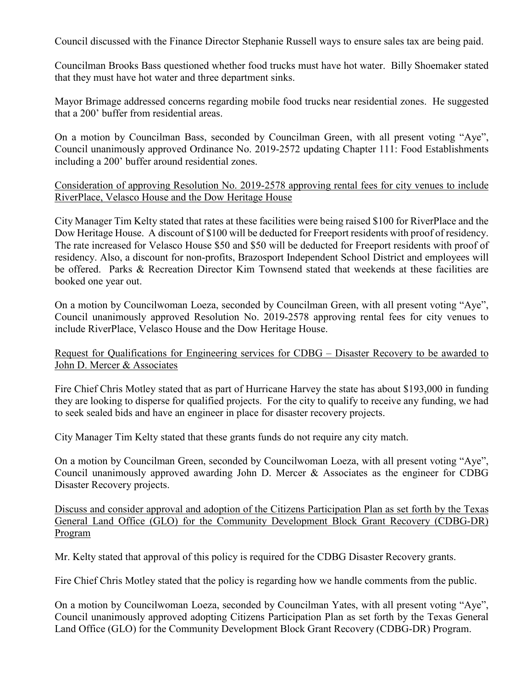Council discussed with the Finance Director Stephanie Russell ways to ensure sales tax are being paid.

Councilman Brooks Bass questioned whether food trucks must have hot water. Billy Shoemaker stated that they must have hot water and three department sinks.

Mayor Brimage addressed concerns regarding mobile food trucks near residential zones. He suggested that a 200' buffer from residential areas.

On a motion by Councilman Bass, seconded by Councilman Green, with all present voting "Aye", Council unanimously approved Ordinance No. 2019-2572 updating Chapter 111: Food Establishments including a 200' buffer around residential zones.

### Consideration of approving Resolution No. 2019-2578 approving rental fees for city venues to include RiverPlace, Velasco House and the Dow Heritage House

City Manager Tim Kelty stated that rates at these facilities were being raised \$100 for RiverPlace and the Dow Heritage House. A discount of \$100 will be deducted for Freeport residents with proof of residency. The rate increased for Velasco House \$50 and \$50 will be deducted for Freeport residents with proof of residency. Also, a discount for non-profits, Brazosport Independent School District and employees will be offered. Parks & Recreation Director Kim Townsend stated that weekends at these facilities are booked one year out.

On a motion by Councilwoman Loeza, seconded by Councilman Green, with all present voting "Aye", Council unanimously approved Resolution No. 2019-2578 approving rental fees for city venues to include RiverPlace, Velasco House and the Dow Heritage House.

Request for Qualifications for Engineering services for CDBG - Disaster Recovery to be awarded to John D. Mercer & Associates

Fire Chief Chris Motley stated that as part of Hurricane Harvey the state has about \$193,000 in funding they are looking to disperse for qualified projects. For the city to qualify to receive any funding, we had to seek sealed bids and have an engineer in place for disaster recovery projects.

City Manager Tim Kelty stated that these grants funds do not require any city match.

On a motion by Councilman Green, seconded by Councilwoman Loeza, with all present voting "Aye", Council unanimously approved awarding John D. Mercer & Associates as the engineer for CDBG Disaster Recovery projects.

Discuss and consider approval and adoption of the Citizens Participation Plan as set forth by the Texas General Land Office (GLO) for the Community Development Block Grant Recovery (CDBG-DR) Program

Mr. Kelty stated that approval of this policy is required for the CDBG Disaster Recovery grants.

Fire Chief Chris Motley stated that the policy is regarding how we handle comments from the public.

On a motion by Councilwoman Loeza, seconded by Councilman Yates, with all present voting "Aye", Council unanimously approved adopting Citizens Participation Plan as set forth by the Texas General Land Office (GLO) for the Community Development Block Grant Recovery (CDBG-DR) Program.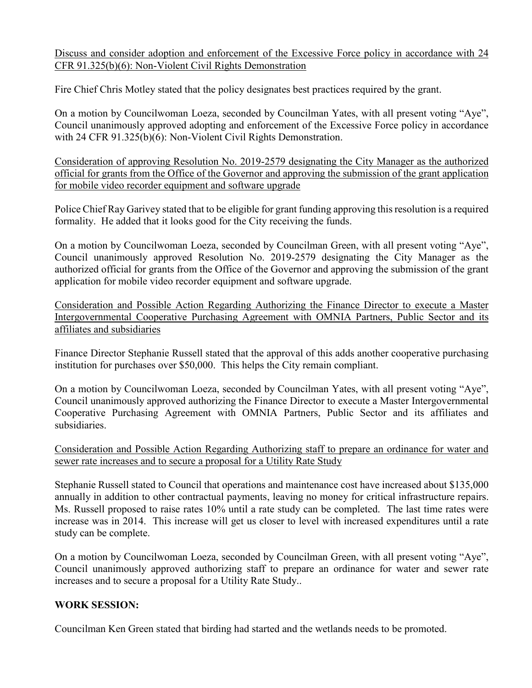Discuss and consider adoption and enforcement of the Excessive Force policy in accordance with 24 CFR 91.325(b)(6): Non-Violent Civil Rights Demonstration

Fire Chief Chris Motley stated that the policy designates best practices required by the grant.

On a motion by Councilwoman Loeza, seconded by Councilman Yates, with all present voting "Aye", Council unanimously approved adopting and enforcement of the Excessive Force policy in accordance with 24 CFR 91.325(b)(6): Non-Violent Civil Rights Demonstration.

Consideration of approving Resolution No. 2019-2579 designating the City Manager as the authorized official for grants from the Office of the Governor and approving the submission of the grant application for mobile video recorder equipment and software upgrade

Police Chief Ray Garivey stated that to be eligible for grant funding approving this resolution is a required formality. He added that it looks good for the City receiving the funds.

On a motion by Councilwoman Loeza, seconded by Councilman Green, with all present voting "Aye", Council unanimously approved Resolution No. 2019-2579 designating the City Manager as the authorized official for grants from the Office of the Governor and approving the submission of the grant application for mobile video recorder equipment and software upgrade.

Consideration and Possible Action Regarding Authorizing the Finance Director to execute a Master Intergovernmental Cooperative Purchasing Agreement with OMNIA Partners, Public Sector and its affiliates and subsidiaries

Finance Director Stephanie Russell stated that the approval of this adds another cooperative purchasing institution for purchases over \$50,000. This helps the City remain compliant.

On a motion by Councilwoman Loeza, seconded by Councilman Yates, with all present voting "Aye", Council unanimously approved authorizing the Finance Director to execute a Master Intergovernmental Cooperative Purchasing Agreement with OMNIA Partners, Public Sector and its affiliates and subsidiaries.

Consideration and Possible Action Regarding Authorizing staff to prepare an ordinance for water and sewer rate increases and to secure a proposal for a Utility Rate Study

Stephanie Russell stated to Council that operations and maintenance cost have increased about \$135,000 annually in addition to other contractual payments, leaving no money for critical infrastructure repairs. Ms. Russell proposed to raise rates 10% until a rate study can be completed. The last time rates were increase was in 2014. This increase will get us closer to level with increased expenditures until a rate study can be complete.

On a motion by Councilwoman Loeza, seconded by Councilman Green, with all present voting "Aye", Council unanimously approved authorizing staff to prepare an ordinance for water and sewer rate increases and to secure a proposal for a Utility Rate Study..

## **WORK SESSION:**

Councilman Ken Green stated that birding had started and the wetlands needs to be promoted.